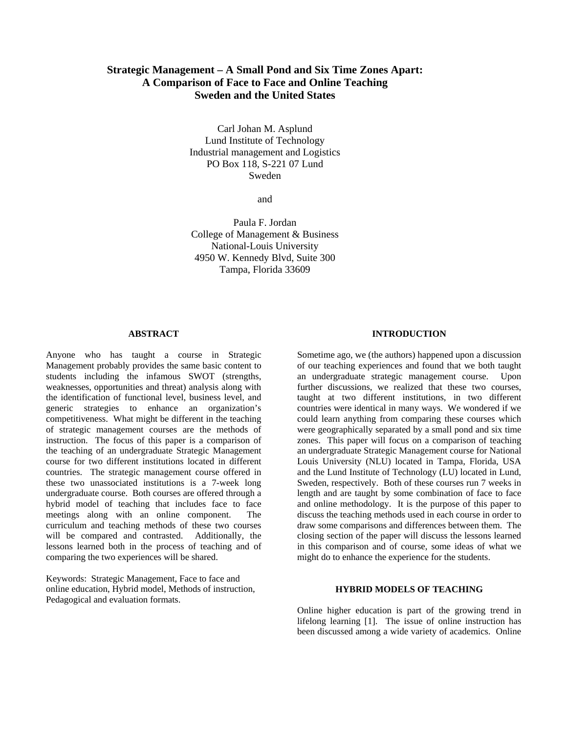# **Strategic Management – A Small Pond and Six Time Zones Apart: A Comparison of Face to Face and Online Teaching Sweden and the United States**

Carl Johan M. Asplund Lund Institute of Technology Industrial management and Logistics PO Box 118, S-221 07 Lund Sweden

and

Paula F. Jordan College of Management & Business National-Louis University 4950 W. Kennedy Blvd, Suite 300 Tampa, Florida 33609

### **ABSTRACT**

Anyone who has taught a course in Strategic Management probably provides the same basic content to students including the infamous SWOT (strengths, weaknesses, opportunities and threat) analysis along with the identification of functional level, business level, and generic strategies to enhance an organization's competitiveness. What might be different in the teaching of strategic management courses are the methods of instruction. The focus of this paper is a comparison of the teaching of an undergraduate Strategic Management course for two different institutions located in different countries. The strategic management course offered in these two unassociated institutions is a 7-week long undergraduate course. Both courses are offered through a hybrid model of teaching that includes face to face meetings along with an online component. The curriculum and teaching methods of these two courses will be compared and contrasted. Additionally, the lessons learned both in the process of teaching and of comparing the two experiences will be shared.

Keywords: Strategic Management, Face to face and online education, Hybrid model, Methods of instruction, Pedagogical and evaluation formats.

# **INTRODUCTION**

Sometime ago, we (the authors) happened upon a discussion of our teaching experiences and found that we both taught an undergraduate strategic management course. Upon further discussions, we realized that these two courses, taught at two different institutions, in two different countries were identical in many ways. We wondered if we could learn anything from comparing these courses which were geographically separated by a small pond and six time zones. This paper will focus on a comparison of teaching an undergraduate Strategic Management course for National Louis University (NLU) located in Tampa, Florida, USA and the Lund Institute of Technology (LU) located in Lund, Sweden, respectively. Both of these courses run 7 weeks in length and are taught by some combination of face to face and online methodology. It is the purpose of this paper to discuss the teaching methods used in each course in order to draw some comparisons and differences between them. The closing section of the paper will discuss the lessons learned in this comparison and of course, some ideas of what we might do to enhance the experience for the students.

#### **HYBRID MODELS OF TEACHING**

Online higher education is part of the growing trend in lifelong learning [1]. The issue of online instruction has been discussed among a wide variety of academics. Online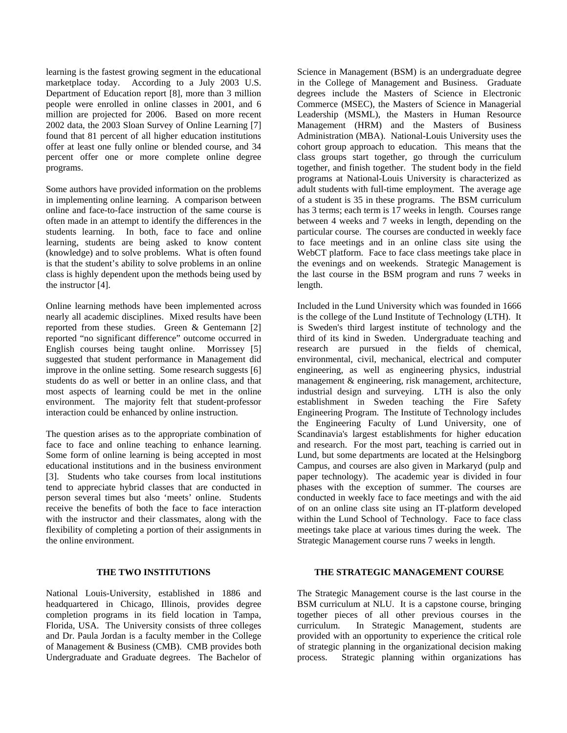learning is the fastest growing segment in the educational marketplace today. According to a July 2003 U.S. Department of Education report [8], more than 3 million people were enrolled in online classes in 2001, and 6 million are projected for 2006. Based on more recent 2002 data, the 2003 Sloan Survey of Online Learning [7] found that 81 percent of all higher education institutions offer at least one fully online or blended course, and 34 percent offer one or more complete online degree programs.

Some authors have provided information on the problems in implementing online learning. A comparison between online and face-to-face instruction of the same course is often made in an attempt to identify the differences in the students learning. In both, face to face and online learning, students are being asked to know content (knowledge) and to solve problems. What is often found is that the student's ability to solve problems in an online class is highly dependent upon the methods being used by the instructor [4].

Online learning methods have been implemented across nearly all academic disciplines. Mixed results have been reported from these studies. Green & Gentemann [2] reported "no significant difference" outcome occurred in English courses being taught online. Morrissey [5] suggested that student performance in Management did improve in the online setting. Some research suggests [6] students do as well or better in an online class, and that most aspects of learning could be met in the online environment. The majority felt that student-professor interaction could be enhanced by online instruction.

The question arises as to the appropriate combination of face to face and online teaching to enhance learning. Some form of online learning is being accepted in most educational institutions and in the business environment [3]. Students who take courses from local institutions tend to appreciate hybrid classes that are conducted in person several times but also 'meets' online. Students receive the benefits of both the face to face interaction with the instructor and their classmates, along with the flexibility of completing a portion of their assignments in the online environment.

### **THE TWO INSTITUTIONS**

National Louis-University, established in 1886 and headquartered in Chicago, Illinois, provides degree completion programs in its field location in Tampa, Florida, USA. The University consists of three colleges and Dr. Paula Jordan is a faculty member in the College of Management & Business (CMB). CMB provides both Undergraduate and Graduate degrees. The Bachelor of Science in Management (BSM) is an undergraduate degree in the College of Management and Business. Graduate degrees include the Masters of Science in Electronic Commerce (MSEC), the Masters of Science in Managerial Leadership (MSML), the Masters in Human Resource Management (HRM) and the Masters of Business Administration (MBA). National-Louis University uses the cohort group approach to education. This means that the class groups start together, go through the curriculum together, and finish together. The student body in the field programs at National-Louis University is characterized as adult students with full-time employment. The average age of a student is 35 in these programs. The BSM curriculum has 3 terms; each term is 17 weeks in length. Courses range between 4 weeks and 7 weeks in length, depending on the particular course. The courses are conducted in weekly face to face meetings and in an online class site using the WebCT platform. Face to face class meetings take place in the evenings and on weekends. Strategic Management is the last course in the BSM program and runs 7 weeks in length.

Included in the Lund University which was founded in 1666 is the college of the Lund Institute of Technology (LTH). It is Sweden's third largest institute of technology and the third of its kind in Sweden. Undergraduate teaching and research are pursued in the fields of chemical, environmental, civil, mechanical, electrical and computer engineering, as well as engineering physics, industrial management & engineering, risk management, architecture, industrial design and surveying. LTH is also the only establishment in Sweden teaching the Fire Safety Engineering Program. The Institute of Technology includes the Engineering Faculty of Lund University, one of Scandinavia's largest establishments for higher education and research. For the most part, teaching is carried out in Lund, but some departments are located at the Helsingborg Campus, and courses are also given in Markaryd (pulp and paper technology). The academic year is divided in four phases with the exception of summer. The courses are conducted in weekly face to face meetings and with the aid of on an online class site using an IT-platform developed within the Lund School of Technology. Face to face class meetings take place at various times during the week. The Strategic Management course runs 7 weeks in length.

# **THE STRATEGIC MANAGEMENT COURSE**

The Strategic Management course is the last course in the BSM curriculum at NLU. It is a capstone course, bringing together pieces of all other previous courses in the curriculum. In Strategic Management, students are provided with an opportunity to experience the critical role of strategic planning in the organizational decision making process. Strategic planning within organizations has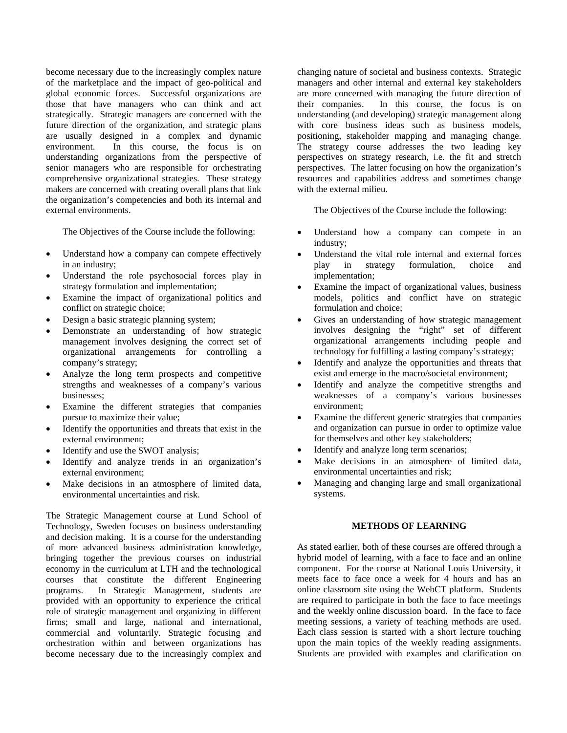become necessary due to the increasingly complex nature of the marketplace and the impact of geo-political and global economic forces. Successful organizations are those that have managers who can think and act strategically. Strategic managers are concerned with the future direction of the organization, and strategic plans are usually designed in a complex and dynamic environment. In this course, the focus is on understanding organizations from the perspective of senior managers who are responsible for orchestrating comprehensive organizational strategies. These strategy makers are concerned with creating overall plans that link the organization's competencies and both its internal and external environments.

The Objectives of the Course include the following:

- Understand how a company can compete effectively in an industry;
- Understand the role psychosocial forces play in strategy formulation and implementation;
- Examine the impact of organizational politics and conflict on strategic choice;
- Design a basic strategic planning system;
- Demonstrate an understanding of how strategic management involves designing the correct set of organizational arrangements for controlling a company's strategy;
- Analyze the long term prospects and competitive strengths and weaknesses of a company's various businesses;
- Examine the different strategies that companies pursue to maximize their value;
- Identify the opportunities and threats that exist in the external environment;
- Identify and use the SWOT analysis;
- Identify and analyze trends in an organization's external environment;
- Make decisions in an atmosphere of limited data, environmental uncertainties and risk.

The Strategic Management course at Lund School of Technology, Sweden focuses on business understanding and decision making. It is a course for the understanding of more advanced business administration knowledge, bringing together the previous courses on industrial economy in the curriculum at LTH and the technological courses that constitute the different Engineering programs. In Strategic Management, students are provided with an opportunity to experience the critical role of strategic management and organizing in different firms; small and large, national and international, commercial and voluntarily. Strategic focusing and orchestration within and between organizations has become necessary due to the increasingly complex and changing nature of societal and business contexts. Strategic managers and other internal and external key stakeholders are more concerned with managing the future direction of their companies. In this course, the focus is on understanding (and developing) strategic management along with core business ideas such as business models, positioning, stakeholder mapping and managing change. The strategy course addresses the two leading key perspectives on strategy research, i.e. the fit and stretch perspectives. The latter focusing on how the organization's resources and capabilities address and sometimes change with the external milieu.

The Objectives of the Course include the following:

- Understand how a company can compete in an industry;
- Understand the vital role internal and external forces play in strategy formulation, choice and implementation;
- Examine the impact of organizational values, business models, politics and conflict have on strategic formulation and choice;
- Gives an understanding of how strategic management involves designing the "right" set of different organizational arrangements including people and technology for fulfilling a lasting company's strategy;
- Identify and analyze the opportunities and threats that exist and emerge in the macro/societal environment;
- Identify and analyze the competitive strengths and weaknesses of a company's various businesses environment;
- Examine the different generic strategies that companies and organization can pursue in order to optimize value for themselves and other key stakeholders;
- Identify and analyze long term scenarios;
- Make decisions in an atmosphere of limited data, environmental uncertainties and risk;
- Managing and changing large and small organizational systems.

# **METHODS OF LEARNING**

As stated earlier, both of these courses are offered through a hybrid model of learning, with a face to face and an online component. For the course at National Louis University, it meets face to face once a week for 4 hours and has an online classroom site using the WebCT platform. Students are required to participate in both the face to face meetings and the weekly online discussion board. In the face to face meeting sessions, a variety of teaching methods are used. Each class session is started with a short lecture touching upon the main topics of the weekly reading assignments. Students are provided with examples and clarification on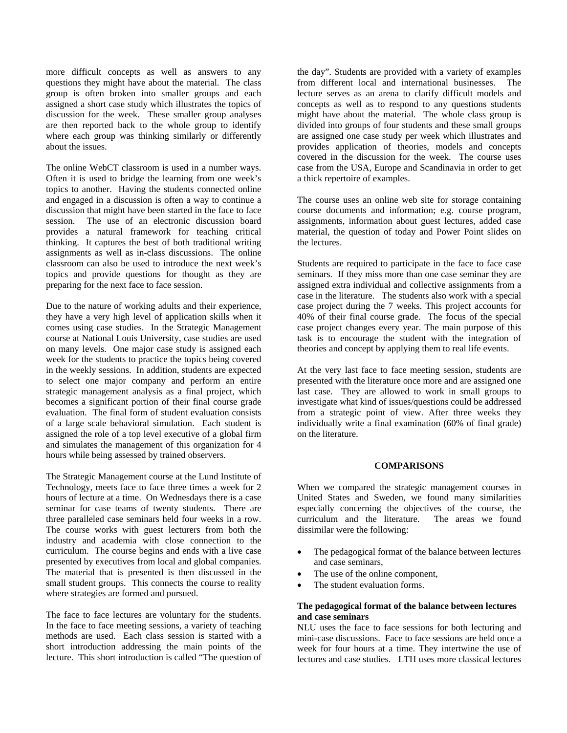more difficult concepts as well as answers to any questions they might have about the material. The class group is often broken into smaller groups and each assigned a short case study which illustrates the topics of discussion for the week. These smaller group analyses are then reported back to the whole group to identify where each group was thinking similarly or differently about the issues.

The online WebCT classroom is used in a number ways. Often it is used to bridge the learning from one week's topics to another. Having the students connected online and engaged in a discussion is often a way to continue a discussion that might have been started in the face to face session. The use of an electronic discussion board provides a natural framework for teaching critical thinking. It captures the best of both traditional writing assignments as well as in-class discussions. The online classroom can also be used to introduce the next week's topics and provide questions for thought as they are preparing for the next face to face session.

Due to the nature of working adults and their experience, they have a very high level of application skills when it comes using case studies. In the Strategic Management course at National Louis University, case studies are used on many levels. One major case study is assigned each week for the students to practice the topics being covered in the weekly sessions. In addition, students are expected to select one major company and perform an entire strategic management analysis as a final project, which becomes a significant portion of their final course grade evaluation. The final form of student evaluation consists of a large scale behavioral simulation. Each student is assigned the role of a top level executive of a global firm and simulates the management of this organization for 4 hours while being assessed by trained observers.

The Strategic Management course at the Lund Institute of Technology, meets face to face three times a week for 2 hours of lecture at a time. On Wednesdays there is a case seminar for case teams of twenty students. There are three paralleled case seminars held four weeks in a row. The course works with guest lecturers from both the industry and academia with close connection to the curriculum. The course begins and ends with a live case presented by executives from local and global companies. The material that is presented is then discussed in the small student groups. This connects the course to reality where strategies are formed and pursued.

The face to face lectures are voluntary for the students. In the face to face meeting sessions, a variety of teaching methods are used. Each class session is started with a short introduction addressing the main points of the lecture. This short introduction is called "The question of

the day". Students are provided with a variety of examples from different local and international businesses. The lecture serves as an arena to clarify difficult models and concepts as well as to respond to any questions students might have about the material. The whole class group is divided into groups of four students and these small groups are assigned one case study per week which illustrates and provides application of theories, models and concepts covered in the discussion for the week. The course uses case from the USA, Europe and Scandinavia in order to get a thick repertoire of examples.

The course uses an online web site for storage containing course documents and information; e.g. course program, assignments, information about guest lectures, added case material, the question of today and Power Point slides on the lectures.

Students are required to participate in the face to face case seminars. If they miss more than one case seminar they are assigned extra individual and collective assignments from a case in the literature. The students also work with a special case project during the 7 weeks. This project accounts for 40% of their final course grade. The focus of the special case project changes every year. The main purpose of this task is to encourage the student with the integration of theories and concept by applying them to real life events.

At the very last face to face meeting session, students are presented with the literature once more and are assigned one last case. They are allowed to work in small groups to investigate what kind of issues/questions could be addressed from a strategic point of view. After three weeks they individually write a final examination (60% of final grade) on the literature.

#### **COMPARISONS**

When we compared the strategic management courses in United States and Sweden, we found many similarities especially concerning the objectives of the course, the curriculum and the literature. The areas we found curriculum and the literature. dissimilar were the following:

- The pedagogical format of the balance between lectures and case seminars,
- The use of the online component,
- The student evaluation forms.

# **The pedagogical format of the balance between lectures and case seminars**

NLU uses the face to face sessions for both lecturing and mini-case discussions. Face to face sessions are held once a week for four hours at a time. They intertwine the use of lectures and case studies. LTH uses more classical lectures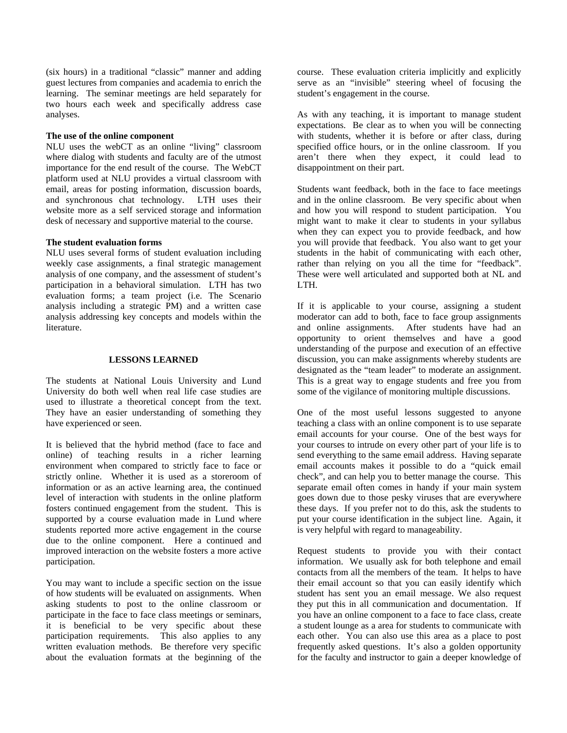(six hours) in a traditional "classic" manner and adding guest lectures from companies and academia to enrich the learning. The seminar meetings are held separately for two hours each week and specifically address case analyses.

### **The use of the online component**

NLU uses the webCT as an online "living" classroom where dialog with students and faculty are of the utmost importance for the end result of the course. The WebCT platform used at NLU provides a virtual classroom with email, areas for posting information, discussion boards, and synchronous chat technology. LTH uses their website more as a self serviced storage and information desk of necessary and supportive material to the course.

#### **The student evaluation forms**

NLU uses several forms of student evaluation including weekly case assignments, a final strategic management analysis of one company, and the assessment of student's participation in a behavioral simulation. LTH has two evaluation forms; a team project (i.e. The Scenario analysis including a strategic PM) and a written case analysis addressing key concepts and models within the literature.

#### **LESSONS LEARNED**

The students at National Louis University and Lund University do both well when real life case studies are used to illustrate a theoretical concept from the text. They have an easier understanding of something they have experienced or seen.

It is believed that the hybrid method (face to face and online) of teaching results in a richer learning environment when compared to strictly face to face or strictly online. Whether it is used as a storeroom of information or as an active learning area, the continued level of interaction with students in the online platform fosters continued engagement from the student. This is supported by a course evaluation made in Lund where students reported more active engagement in the course due to the online component. Here a continued and improved interaction on the website fosters a more active participation.

You may want to include a specific section on the issue of how students will be evaluated on assignments. When asking students to post to the online classroom or participate in the face to face class meetings or seminars, it is beneficial to be very specific about these participation requirements. This also applies to any written evaluation methods. Be therefore very specific about the evaluation formats at the beginning of the

course. These evaluation criteria implicitly and explicitly serve as an "invisible" steering wheel of focusing the student's engagement in the course.

As with any teaching, it is important to manage student expectations. Be clear as to when you will be connecting with students, whether it is before or after class, during specified office hours, or in the online classroom. If you aren't there when they expect, it could lead to disappointment on their part.

Students want feedback, both in the face to face meetings and in the online classroom. Be very specific about when and how you will respond to student participation. You might want to make it clear to students in your syllabus when they can expect you to provide feedback, and how you will provide that feedback. You also want to get your students in the habit of communicating with each other, rather than relying on you all the time for "feedback". These were well articulated and supported both at NL and LTH.

If it is applicable to your course, assigning a student moderator can add to both, face to face group assignments and online assignments. After students have had an opportunity to orient themselves and have a good understanding of the purpose and execution of an effective discussion, you can make assignments whereby students are designated as the "team leader" to moderate an assignment. This is a great way to engage students and free you from some of the vigilance of monitoring multiple discussions.

One of the most useful lessons suggested to anyone teaching a class with an online component is to use separate email accounts for your course. One of the best ways for your courses to intrude on every other part of your life is to send everything to the same email address. Having separate email accounts makes it possible to do a "quick email check", and can help you to better manage the course. This separate email often comes in handy if your main system goes down due to those pesky viruses that are everywhere these days. If you prefer not to do this, ask the students to put your course identification in the subject line. Again, it is very helpful with regard to manageability.

Request students to provide you with their contact information. We usually ask for both telephone and email contacts from all the members of the team. It helps to have their email account so that you can easily identify which student has sent you an email message. We also request they put this in all communication and documentation. If you have an online component to a face to face class, create a student lounge as a area for students to communicate with each other. You can also use this area as a place to post frequently asked questions. It's also a golden opportunity for the faculty and instructor to gain a deeper knowledge of